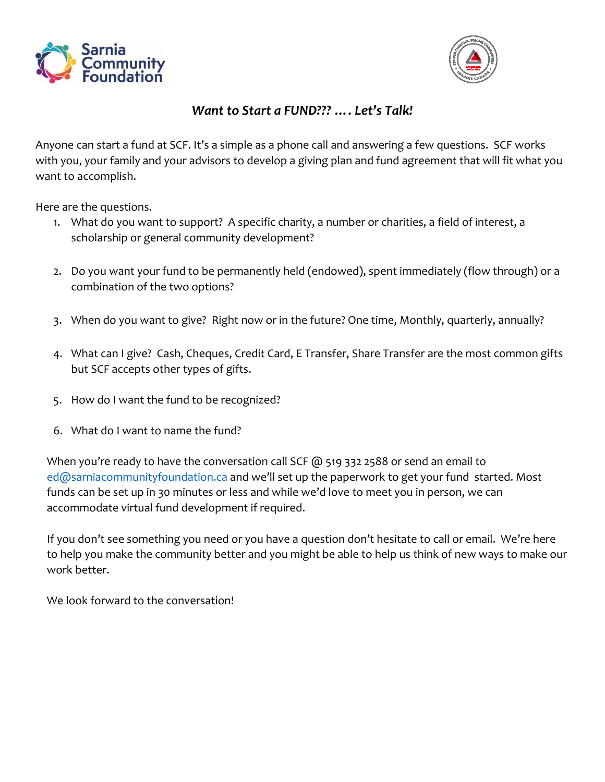



## *Want to Start a FUND??? …. Let's Talk!*

Anyone can start a fund at SCF. It's a simple as a phone call and answering a few questions. SCF works with you, your family and your advisors to develop a giving plan and fund agreement that will fit what you want to accomplish.

Here are the questions.

- 1. What do you want to support? A specific charity, a number or charities, a field of interest, a scholarship or general community development?
- 2. Do you want your fund to be permanently held (endowed), spent immediately (flow through) or a combination of the two options?
- 3. When do you want to give? Right now or in the future? One time, Monthly, quarterly, annually?
- 4. What can I give? Cash, Cheques, Credit Card, E Transfer, Share Transfer are the most common gifts but SCF accepts other types of gifts.
- 5. How do I want the fund to be recognized?
- 6. What do I want to name the fund?

When you're ready to have the conversation call SCF @ 519 332 2588 or send an email to [ed@sarniacommunityfoundation.ca](mailto:ed@sarniacommunityfoundation.ca) and we'll set up the paperwork to get your fund started. Most funds can be set up in 30 minutes or less and while we'd love to meet you in person, we can accommodate virtual fund development if required.

If you don't see something you need or you have a question don't hesitate to call or email. We're here to help you make the community better and you might be able to help us think of new ways to make our work better.

We look forward to the conversation!